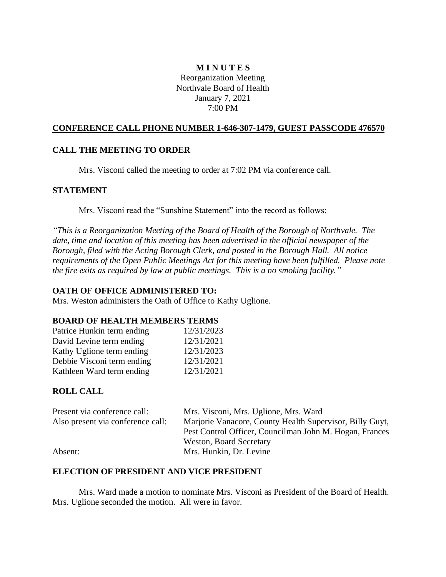## **M I N U T E S** Reorganization Meeting Northvale Board of Health January 7, 2021 7:00 PM

## **CONFERENCE CALL PHONE NUMBER 1-646-307-1479, GUEST PASSCODE 476570**

### **CALL THE MEETING TO ORDER**

Mrs. Visconi called the meeting to order at 7:02 PM via conference call.

### **STATEMENT**

Mrs. Visconi read the "Sunshine Statement" into the record as follows:

*"This is a Reorganization Meeting of the Board of Health of the Borough of Northvale. The date, time and location of this meeting has been advertised in the official newspaper of the Borough, filed with the Acting Borough Clerk, and posted in the Borough Hall. All notice requirements of the Open Public Meetings Act for this meeting have been fulfilled. Please note the fire exits as required by law at public meetings. This is a no smoking facility."*

#### **OATH OF OFFICE ADMINISTERED TO:**

Mrs. Weston administers the Oath of Office to Kathy Uglione.

### **BOARD OF HEALTH MEMBERS TERMS**

| Patrice Hunkin term ending | 12/31/2023 |
|----------------------------|------------|
| David Levine term ending   | 12/31/2021 |
| Kathy Uglione term ending  | 12/31/2023 |
| Debbie Visconi term ending | 12/31/2021 |
| Kathleen Ward term ending  | 12/31/2021 |

#### **ROLL CALL**

| Present via conference call:      | Mrs. Visconi, Mrs. Uglione, Mrs. Ward                                                     |
|-----------------------------------|-------------------------------------------------------------------------------------------|
| Also present via conference call: | Marjorie Vanacore, County Health Supervisor, Billy Guyt,                                  |
|                                   | Pest Control Officer, Councilman John M. Hogan, Frances<br><b>Weston, Board Secretary</b> |
|                                   |                                                                                           |
| Absent:                           | Mrs. Hunkin, Dr. Levine                                                                   |

#### **ELECTION OF PRESIDENT AND VICE PRESIDENT**

Mrs. Ward made a motion to nominate Mrs. Visconi as President of the Board of Health. Mrs. Uglione seconded the motion. All were in favor.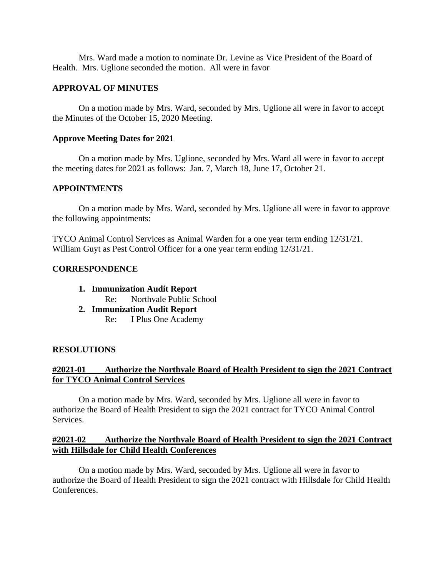Mrs. Ward made a motion to nominate Dr. Levine as Vice President of the Board of Health. Mrs. Uglione seconded the motion. All were in favor

#### **APPROVAL OF MINUTES**

On a motion made by Mrs. Ward, seconded by Mrs. Uglione all were in favor to accept the Minutes of the October 15, 2020 Meeting.

#### **Approve Meeting Dates for 2021**

On a motion made by Mrs. Uglione, seconded by Mrs. Ward all were in favor to accept the meeting dates for 2021 as follows: Jan. 7, March 18, June 17, October 21.

### **APPOINTMENTS**

On a motion made by Mrs. Ward, seconded by Mrs. Uglione all were in favor to approve the following appointments:

TYCO Animal Control Services as Animal Warden for a one year term ending 12/31/21. William Guyt as Pest Control Officer for a one year term ending 12/31/21.

### **CORRESPONDENCE**

- **1. Immunization Audit Report**
	- Re: Northvale Public School
- **2. Immunization Audit Report**

Re: I Plus One Academy

#### **RESOLUTIONS**

#### **#2021-01 Authorize the Northvale Board of Health President to sign the 2021 Contract for TYCO Animal Control Services**

On a motion made by Mrs. Ward, seconded by Mrs. Uglione all were in favor to authorize the Board of Health President to sign the 2021 contract for TYCO Animal Control Services.

### **#2021-02 Authorize the Northvale Board of Health President to sign the 2021 Contract with Hillsdale for Child Health Conferences**

On a motion made by Mrs. Ward, seconded by Mrs. Uglione all were in favor to authorize the Board of Health President to sign the 2021 contract with Hillsdale for Child Health Conferences.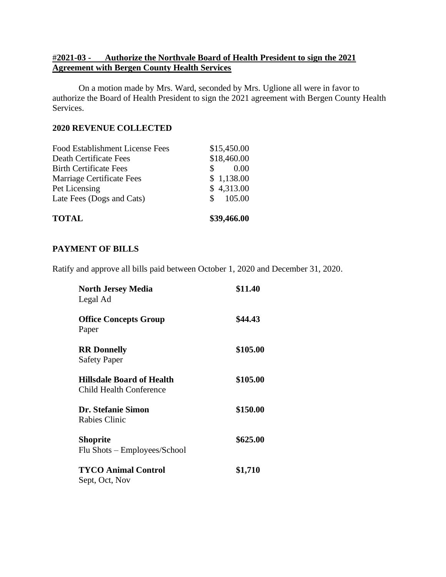## #**2021-03 - Authorize the Northvale Board of Health President to sign the 2021 Agreement with Bergen County Health Services**

On a motion made by Mrs. Ward, seconded by Mrs. Uglione all were in favor to authorize the Board of Health President to sign the 2021 agreement with Bergen County Health Services.

### **2020 REVENUE COLLECTED**

| <b>TOTAL</b>                    | \$39,466.00 |
|---------------------------------|-------------|
| Late Fees (Dogs and Cats)       | \$105.00    |
| Pet Licensing                   | \$4,313.00  |
| Marriage Certificate Fees       | \$1,138.00  |
| <b>Birth Certificate Fees</b>   | 0.00        |
| Death Certificate Fees          | \$18,460.00 |
| Food Establishment License Fees | \$15,450.00 |

### **PAYMENT OF BILLS**

Ratify and approve all bills paid between October 1, 2020 and December 31, 2020.

| <b>North Jersey Media</b><br>Legal Ad                              | \$11.40  |  |
|--------------------------------------------------------------------|----------|--|
| <b>Office Concepts Group</b><br>Paper                              | \$44.43  |  |
| <b>RR</b> Donnelly<br><b>Safety Paper</b>                          | \$105.00 |  |
| <b>Hillsdale Board of Health</b><br><b>Child Health Conference</b> | \$105.00 |  |
| Dr. Stefanie Simon<br>Rabies Clinic                                | \$150.00 |  |
| <b>Shoprite</b><br>Flu Shots - Employees/School                    | \$625.00 |  |
| <b>TYCO Animal Control</b><br>Sept, Oct, Nov                       | \$1,710  |  |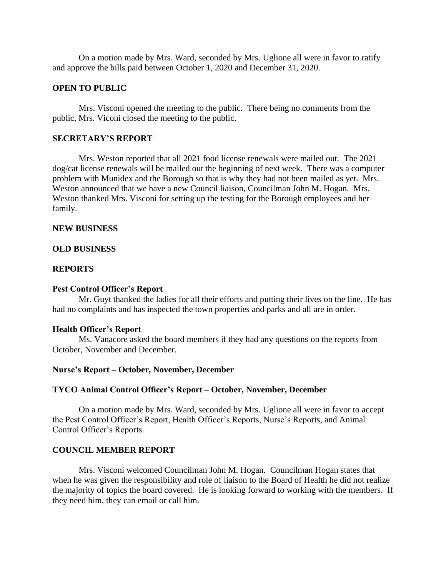On a motion made by Mrs. Ward, seconded by Mrs. Uglione all were in favor to ratify and approve the bills paid between October 1, 2020 and December 31, 2020.

#### **OPEN TO PUBLIC**

Mrs. Visconi opened the meeting to the public. There being no comments from the public, Mrs. Viconi closed the meeting to the public.

## **SECRETARY'S REPORT**

Mrs. Weston reported that all 2021 food license renewals were mailed out. The 2021 dog/cat license renewals will be mailed out the beginning of next week. There was a computer problem with Munidex and the Borough so that is why they had not been mailed as yet. Mrs. Weston announced that we have a new Council liaison, Councilman John M. Hogan. Mrs. Weston thanked Mrs. Visconi for setting up the testing for the Borough employees and her family.

#### **NEW BUSINESS**

#### **OLD BUSINESS**

## **REPORTS**

#### **Pest Control Officer's Report**

Mr. Guyt thanked the ladies for all their efforts and putting their lives on the line. He has had no complaints and has inspected the town properties and parks and all are in order.

#### **Health Officer's Report**

Ms. Vanacore asked the board members if they had any questions on the reports from October, November and December.

#### **Nurse's Report – October, November, December**

#### **TYCO Animal Control Officer's Report – October, November, December**

On a motion made by Mrs. Ward, seconded by Mrs. Uglione all were in favor to accept the Pest Control Officer's Report, Health Officer's Reports, Nurse's Reports, and Animal Control Officer's Reports.

### **COUNCIL MEMBER REPORT**

Mrs. Visconi welcomed Councilman John M. Hogan. Councilman Hogan states that when he was given the responsibility and role of liaison to the Board of Health he did not realize the majority of topics the board covered. He is looking forward to working with the members. If they need him, they can email or call him.